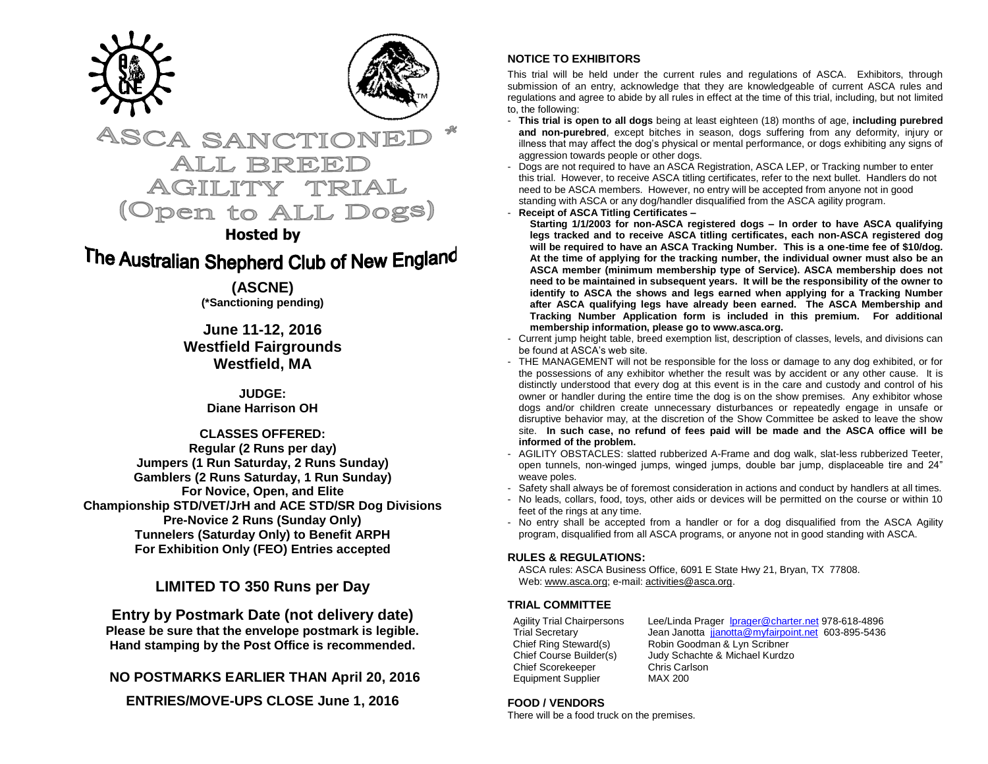



# **ASCA SANCTIO** ALL BREE AGILIT (Open to ALL Dogs)

# **Hosted by**

# The Australian Shepherd Club of New England

**(ASCNE) (\*Sanctioning pending)**

**June 11-12, 2016 Westfield Fairgrounds Westfield, MA**

> **JUDGE: Diane Harrison OH**

**CLASSES OFFERED: Regular (2 Runs per day) Jumpers (1 Run Saturday, 2 Runs Sunday) Gamblers (2 Runs Saturday, 1 Run Sunday) For Novice, Open, and Elite Championship STD/VET/JrH and ACE STD/SR Dog Divisions Pre-Novice 2 Runs (Sunday Only) Tunnelers (Saturday Only) to Benefit ARPH For Exhibition Only (FEO) Entries accepted**

**LIMITED TO 350 Runs per Day**

**Entry by Postmark Date (not delivery date) Please be sure that the envelope postmark is legible. Hand stamping by the Post Office is recommended.** 

**NO POSTMARKS EARLIER THAN April 20, 2016**

**ENTRIES/MOVE-UPS CLOSE June 1, 2016**

# **NOTICE TO EXHIBITORS**

This trial will be held under the current rules and regulations of ASCA. Exhibitors, through submission of an entry, acknowledge that they are knowledgeable of current ASCA rules and regulations and agree to abide by all rules in effect at the time of this trial, including, but not limited to, the following:

- **This trial is open to all dogs** being at least eighteen (18) months of age, **including purebred and non-purebred**, except bitches in season, dogs suffering from any deformity, injury or illness that may affect the dog's physical or mental performance, or dogs exhibiting any signs of aggression towards people or other dogs.
- Dogs are not required to have an ASCA Registration, ASCA LEP, or Tracking number to enter this trial. However, to receive ASCA titling certificates, refer to the next bullet. Handlers do not need to be ASCA members. However, no entry will be accepted from anyone not in good standing with ASCA or any dog/handler disqualified from the ASCA agility program.
- **Receipt of ASCA Titling Certificates –**

**Starting 1/1/2003 for non-ASCA registered dogs – In order to have ASCA qualifying legs tracked and to receive ASCA titling certificates, each non-ASCA registered dog will be required to have an ASCA Tracking Number. This is a one-time fee of \$10/dog. At the time of applying for the tracking number, the individual owner must also be an ASCA member (minimum membership type of Service). ASCA membership does not need to be maintained in subsequent years. It will be the responsibility of the owner to identify to ASCA the shows and legs earned when applying for a Tracking Number after ASCA qualifying legs have already been earned. The ASCA Membership and Tracking Number Application form is included in this premium. For additional membership information, please go to www.asca.org.**

- Current jump height table, breed exemption list, description of classes, levels, and divisions can be found at ASCA's web site.
- THE MANAGEMENT will not be responsible for the loss or damage to any dog exhibited, or for the possessions of any exhibitor whether the result was by accident or any other cause. It is distinctly understood that every dog at this event is in the care and custody and control of his owner or handler during the entire time the dog is on the show premises. Any exhibitor whose dogs and/or children create unnecessary disturbances or repeatedly engage in unsafe or disruptive behavior may, at the discretion of the Show Committee be asked to leave the show site. **In such case, no refund of fees paid will be made and the ASCA office will be informed of the problem.**
- AGILITY OBSTACLES: slatted rubberized A-Frame and dog walk, slat-less rubberized Teeter, open tunnels, non-winged jumps, winged jumps, double bar jump, displaceable tire and 24" weave poles.
- Safety shall always be of foremost consideration in actions and conduct by handlers at all times.
- No leads, collars, food, toys, other aids or devices will be permitted on the course or within 10 feet of the rings at any time.
- No entry shall be accepted from a handler or for a dog disqualified from the ASCA Agility program, disqualified from all ASCA programs, or anyone not in good standing with ASCA.

### **RULES & REGULATIONS:**

ASCA rules: ASCA Business Office, 6091 E State Hwy 21, Bryan, TX 77808. Web[: www.asca.org;](http://www.asca.org/) e-mail[: activities@asca.org.](mailto:activities@asca.org)

## **TRIAL COMMITTEE**

Chief Scorekeeper Chris Carlson Equipment Supplier MAX 200

Agility Trial Chairpersons Lee/Linda Prager [lprager@charter.net](mailto:lprager@charter.net) 978-618-4896 Trial Secretary Jean Janotta [jjanotta@myfairpoint.net](mailto:jjanotta@myfairpoint.net) 603-895-5436 Chief Ring Steward(s) Robin Goodman & Lyn Scribner<br>Chief Course Builder(s) Judy Schachte & Michael Kurdzo Judy Schachte & Michael Kurdzo

### **FOOD / VENDORS**

There will be a food truck on the premises.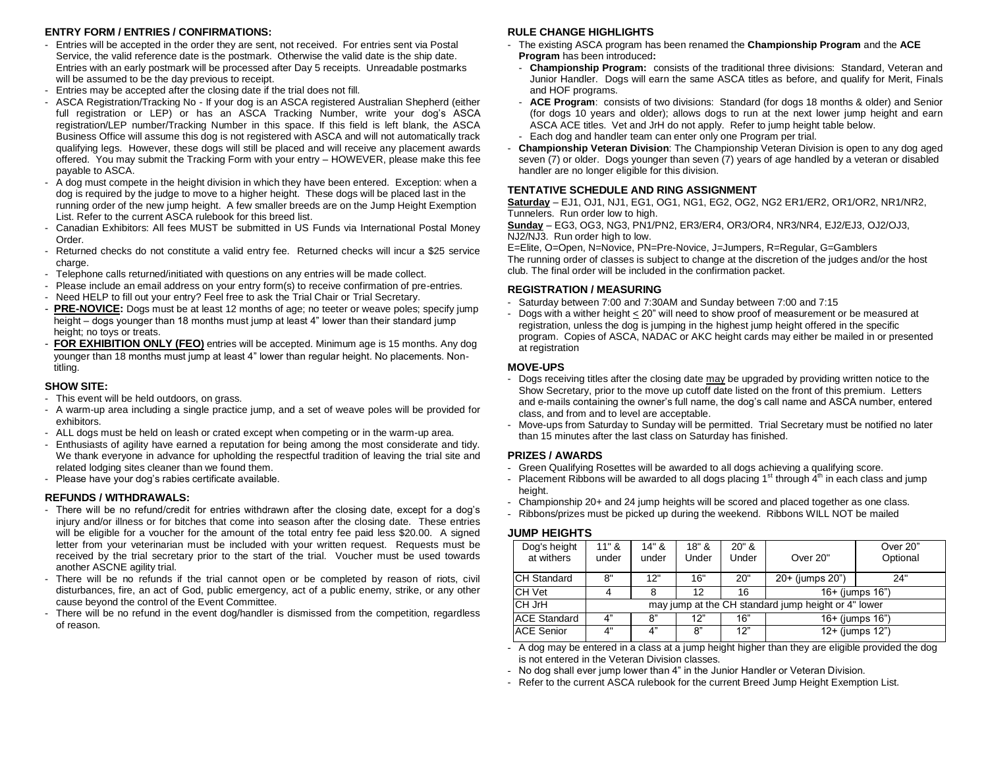#### **ENTRY FORM / ENTRIES / CONFIRMATIONS:**

- Entries will be accepted in the order they are sent, not received. For entries sent via Postal Service, the valid reference date is the postmark. Otherwise the valid date is the ship date. Entries with an early postmark will be processed after Day 5 receipts. Unreadable postmarks will be assumed to be the day previous to receipt.
- Entries may be accepted after the closing date if the trial does not fill.
- ASCA Registration/Tracking No If your dog is an ASCA registered Australian Shepherd (either full registration or LEP) or has an ASCA Tracking Number, write your dog's ASCA registration/LEP number/Tracking Number in this space. If this field is left blank, the ASCA Business Office will assume this dog is not registered with ASCA and will not automatically track qualifying legs. However, these dogs will still be placed and will receive any placement awards offered. You may submit the Tracking Form with your entry – HOWEVER, please make this fee payable to ASCA.
- A dog must compete in the height division in which they have been entered. Exception: when a dog is required by the judge to move to a higher height. These dogs will be placed last in the running order of the new jump height. A few smaller breeds are on the Jump Height Exemption List. Refer to the current ASCA rulebook for this breed list.
- Canadian Exhibitors: All fees MUST be submitted in US Funds via International Postal Money Order.
- Returned checks do not constitute a valid entry fee. Returned checks will incur a \$25 service charge.
- Telephone calls returned/initiated with questions on any entries will be made collect.
- Please include an email address on your entry form(s) to receive confirmation of pre-entries.
- Need HELP to fill out your entry? Feel free to ask the Trial Chair or Trial Secretary.
- **PRE-NOVICE:** Dogs must be at least 12 months of age; no teeter or weave poles; specify jump height – dogs younger than 18 months must jump at least 4" lower than their standard jump height; no toys or treats.
- **FOR EXHIBITION ONLY (FEO)** entries will be accepted. Minimum age is 15 months. Any dog younger than 18 months must jump at least 4" lower than regular height. No placements. Nontitling.

#### **SHOW SITE:**

- This event will be held outdoors, on grass.
- A warm-up area including a single practice jump, and a set of weave poles will be provided for exhibitors.
- ALL dogs must be held on leash or crated except when competing or in the warm-up area.
- Enthusiasts of agility have earned a reputation for being among the most considerate and tidy. We thank everyone in advance for upholding the respectful tradition of leaving the trial site and related lodging sites cleaner than we found them.
- Please have your dog's rabies certificate available.

#### **REFUNDS / WITHDRAWALS:**

- There will be no refund/credit for entries withdrawn after the closing date, except for a dog's injury and/or illness or for bitches that come into season after the closing date. These entries will be eligible for a voucher for the amount of the total entry fee paid less \$20.00. A signed letter from your veterinarian must be included with your written request. Requests must be received by the trial secretary prior to the start of the trial. Voucher must be used towards another ASCNE agility trial.
- There will be no refunds if the trial cannot open or be completed by reason of riots, civil disturbances, fire, an act of God, public emergency, act of a public enemy, strike, or any other cause beyond the control of the Event Committee.
- There will be no refund in the event dog/handler is dismissed from the competition, regardless of reason.

#### **RULE CHANGE HIGHLIGHTS**

- The existing ASCA program has been renamed the **Championship Program** and the **ACE Program** has been introduced**:**
	- **Championship Program:** consists of the traditional three divisions: Standard, Veteran and Junior Handler. Dogs will earn the same ASCA titles as before, and qualify for Merit, Finals and HOF programs.
- **ACE Program**: consists of two divisions: Standard (for dogs 18 months & older) and Senior (for dogs 10 years and older); allows dogs to run at the next lower jump height and earn ASCA ACE titles. Vet and JrH do not apply. Refer to jump height table below.
- Each dog and handler team can enter only one Program per trial.
- **Championship Veteran Division**: The Championship Veteran Division is open to any dog aged seven (7) or older. Dogs younger than seven (7) years of age handled by a veteran or disabled handler are no longer eligible for this division.

#### **TENTATIVE SCHEDULE AND RING ASSIGNMENT**

**Saturday** – EJ1, OJ1, NJ1, EG1, OG1, NG1, EG2, OG2, NG2 ER1/ER2, OR1/OR2, NR1/NR2, Tunnelers. Run order low to high.

**Sunday** – EG3, OG3, NG3, PN1/PN2, ER3/ER4, OR3/OR4, NR3/NR4, EJ2/EJ3, OJ2/OJ3, NJ2/NJ3. Run order high to low.

E=Elite, O=Open, N=Novice, PN=Pre-Novice, J=Jumpers, R=Regular, G=Gamblers The running order of classes is subject to change at the discretion of the judges and/or the host club. The final order will be included in the confirmation packet.

#### **REGISTRATION / MEASURING**

- Saturday between 7:00 and 7:30AM and Sunday between 7:00 and 7:15
- Dogs with a wither height  $\leq$  20" will need to show proof of measurement or be measured at registration, unless the dog is jumping in the highest jump height offered in the specific program. Copies of ASCA, NADAC or AKC height cards may either be mailed in or presented at registration

#### **MOVE-UPS**

- Dogs receiving titles after the closing date may be upgraded by providing written notice to the Show Secretary, prior to the move up cutoff date listed on the front of this premium. Letters and e-mails containing the owner's full name, the dog's call name and ASCA number, entered class, and from and to level are acceptable.
- Move-ups from Saturday to Sunday will be permitted. Trial Secretary must be notified no later than 15 minutes after the last class on Saturday has finished.

#### **PRIZES / AWARDS**

- Green Qualifying Rosettes will be awarded to all dogs achieving a qualifying score.
- Placement Ribbons will be awarded to all dogs placing  $1<sup>st</sup>$  through  $4<sup>th</sup>$  in each class and jump height.
- Championship 20+ and 24 jump heights will be scored and placed together as one class.
- Ribbons/prizes must be picked up during the weekend. Ribbons WILL NOT be mailed

#### **JUMP HEIGHTS**

| Dog's height<br>at withers | $11"$ &<br>under                                    | 14" &<br>under | $18"$ &<br>Under | $20"$ &<br>Under | Over 20"        | Over 20"<br>Optional |  |  |  |
|----------------------------|-----------------------------------------------------|----------------|------------------|------------------|-----------------|----------------------|--|--|--|
| <b>CH Standard</b>         | 8"                                                  | 12"            | 16"              | 20"              | 20+ (jumps 20") | 24"                  |  |  |  |
| CH Vet                     |                                                     | 8              | 12               | 16               | 16+ (jumps 16") |                      |  |  |  |
| CH JrH                     | may jump at the CH standard jump height or 4" lower |                |                  |                  |                 |                      |  |  |  |
| <b>ACE Standard</b>        | 4"                                                  | 8"             | 12"              | 16"              | 16+ (jumps 16") |                      |  |  |  |
| <b>ACE Senior</b>          | 4"                                                  | 4"             | 8"               | 12"              | 12+ (jumps 12") |                      |  |  |  |

- A dog may be entered in a class at a jump height higher than they are eligible provided the dog is not entered in the Veteran Division classes.

- No dog shall ever jump lower than 4" in the Junior Handler or Veteran Division.
- Refer to the current ASCA rulebook for the current Breed Jump Height Exemption List.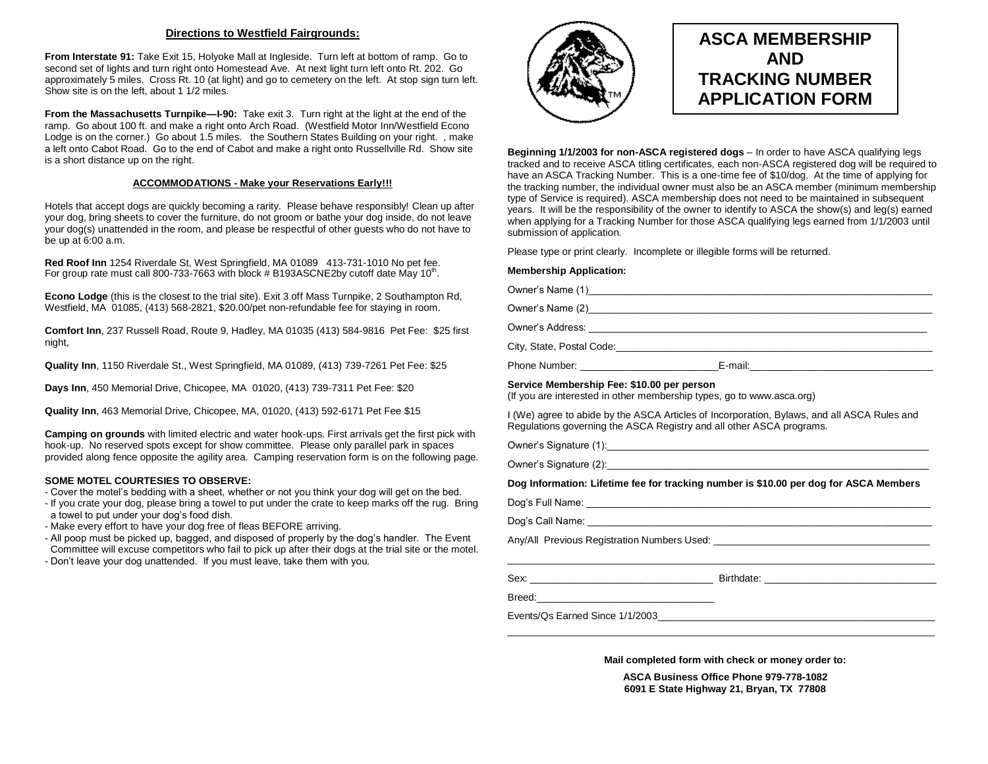#### **Directions to Westfield Fairgrounds:**

**From Interstate 91:** Take Exit 15, Holyoke Mall at Ingleside. Turn left at bottom of ramp. Go to second set of lights and turn right onto Homestead Ave. At next light turn left onto Rt. 202. Go approximately 5 miles. Cross Rt. 10 (at light) and go to cemetery on the left. At stop sign turn left. Show site is on the left, about 1 1/2 miles.

**From the Massachusetts Turnpike—I-90:** Take exit 3. Turn right at the light at the end of the ramp. Go about 100 ft. and make a right onto Arch Road. (Westfield Motor Inn/Westfield Econo Lodge is on the corner.) Go about 1.5 miles. the Southern States Building on your right. , make a left onto Cabot Road. Go to the end of Cabot and make a right onto Russellville Rd. Show site is a short distance up on the right.

#### **ACCOMMODATIONS - Make your Reservations Early!!!**

Hotels that accept dogs are quickly becoming a rarity. Please behave responsibly! Clean up after your dog, bring sheets to cover the furniture, do not groom or bathe your dog inside, do not leave your dog(s) unattended in the room, and please be respectful of other guests who do not have to be up at 6:00 a.m.

**Red Roof Inn** 1254 Riverdale St, West Springfield, MA 01089 413-731-1010 No pet fee. For group rate must call 800-733-7663 with block  $\#$  B193ASCNE2by cutoff date May 10<sup>th</sup>.

**Econo Lodge** (this is the closest to the trial site). Exit 3 off Mass Turnpike, 2 Southampton Rd, Westfield, MA 01085, (413) 568-2821, \$20.00/pet non-refundable fee for staying in room.

**Comfort Inn**, 237 Russell Road, Route 9, Hadley, MA 01035 (413) 584-9816 Pet Fee: \$25 first night,

**Quality Inn**, 1150 Riverdale St., West Springfield, MA 01089, (413) 739-7261 Pet Fee: \$25

**Days Inn**, 450 Memorial Drive, Chicopee, MA 01020, (413) 739-7311 Pet Fee: \$20

**Quality Inn**, 463 Memorial Drive, Chicopee, MA, 01020, (413) 592-6171 Pet Fee \$15

**Camping on grounds** with limited electric and water hook-ups. First arrivals get the first pick with hook-up. No reserved spots except for show committee. Please only parallel park in spaces provided along fence opposite the agility area. Camping reservation form is on the following page.

#### **SOME MOTEL COURTESIES TO OBSERVE:**

- Cover the motel's bedding with a sheet, whether or not you think your dog will get on the bed.

- If you crate your dog, please bring a towel to put under the crate to keep marks off the rug. Bring a towel to put under your dog's food dish.

- Make every effort to have your dog free of fleas BEFORE arriving.
- All poop must be picked up, bagged, and disposed of properly by the dog's handler. The Event Committee will excuse competitors who fail to pick up after their dogs at the trial site or the motel.
- Don't leave your dog unattended. If you must leave, take them with you.



# **ASCA MEMBERSHIP AND TRACKING NUMBER APPLICATION FORM**

**Beginning 1/1/2003 for non-ASCA registered dogs** – In order to have ASCA qualifying legs tracked and to receive ASCA titling certificates, each non-ASCA registered dog will be required to have an ASCA Tracking Number. This is a one-time fee of \$10/dog. At the time of applying for the tracking number, the individual owner must also be an ASCA member (minimum membership type of Service is required). ASCA membership does not need to be maintained in subsequent years. It will be the responsibility of the owner to identify to ASCA the show(s) and leg(s) earned when applying for a Tracking Number for those ASCA qualifying legs earned from 1/1/2003 until submission of application.

Please type or print clearly. Incomplete or illegible forms will be returned.

#### **Membership Application:**

| <b>Membership Application.</b>                                                                                      |                                                                                                                                                                                                                                |
|---------------------------------------------------------------------------------------------------------------------|--------------------------------------------------------------------------------------------------------------------------------------------------------------------------------------------------------------------------------|
|                                                                                                                     |                                                                                                                                                                                                                                |
|                                                                                                                     |                                                                                                                                                                                                                                |
|                                                                                                                     |                                                                                                                                                                                                                                |
|                                                                                                                     |                                                                                                                                                                                                                                |
|                                                                                                                     |                                                                                                                                                                                                                                |
| Service Membership Fee: \$10.00 per person<br>(If you are interested in other membership types, go to www.asca.org) |                                                                                                                                                                                                                                |
| Regulations governing the ASCA Registry and all other ASCA programs.                                                | I (We) agree to abide by the ASCA Articles of Incorporation, Bylaws, and all ASCA Rules and                                                                                                                                    |
|                                                                                                                     | Owner's Signature (1): example and contact the contract of the contact of the contact of the contact of the contact of the contact of the contact of the contact of the contact of the contact of the contact of the contact o |
|                                                                                                                     | Owner's Signature (2): 2008 Contract Contract Contract Contract Contract Contract Contract Contract Contract Contract Contract Contract Contract Contract Contract Contract Contract Contract Contract Contract Contract Contr |
|                                                                                                                     | Dog Information: Lifetime fee for tracking number is \$10.00 per dog for ASCA Members                                                                                                                                          |
|                                                                                                                     |                                                                                                                                                                                                                                |
|                                                                                                                     |                                                                                                                                                                                                                                |
|                                                                                                                     |                                                                                                                                                                                                                                |
|                                                                                                                     | <u> 1989 - Johann Stoff, amerikansk politiker (d. 1989)</u>                                                                                                                                                                    |
|                                                                                                                     |                                                                                                                                                                                                                                |
|                                                                                                                     |                                                                                                                                                                                                                                |
| Events/Os Farned Since 1/1/2003                                                                                     |                                                                                                                                                                                                                                |

**Mail completed form with check or money order to:**

\_\_\_\_\_\_\_\_\_\_\_\_\_\_\_\_\_\_\_\_\_\_\_\_\_\_\_\_\_\_\_\_\_\_\_\_\_\_\_\_\_\_\_\_\_\_\_\_\_\_\_\_\_\_\_\_\_\_\_\_\_\_\_\_\_\_\_\_\_\_\_\_\_\_\_\_\_

**ASCA Business Office Phone 979-778-1082 6091 E State Highway 21, Bryan, TX 77808**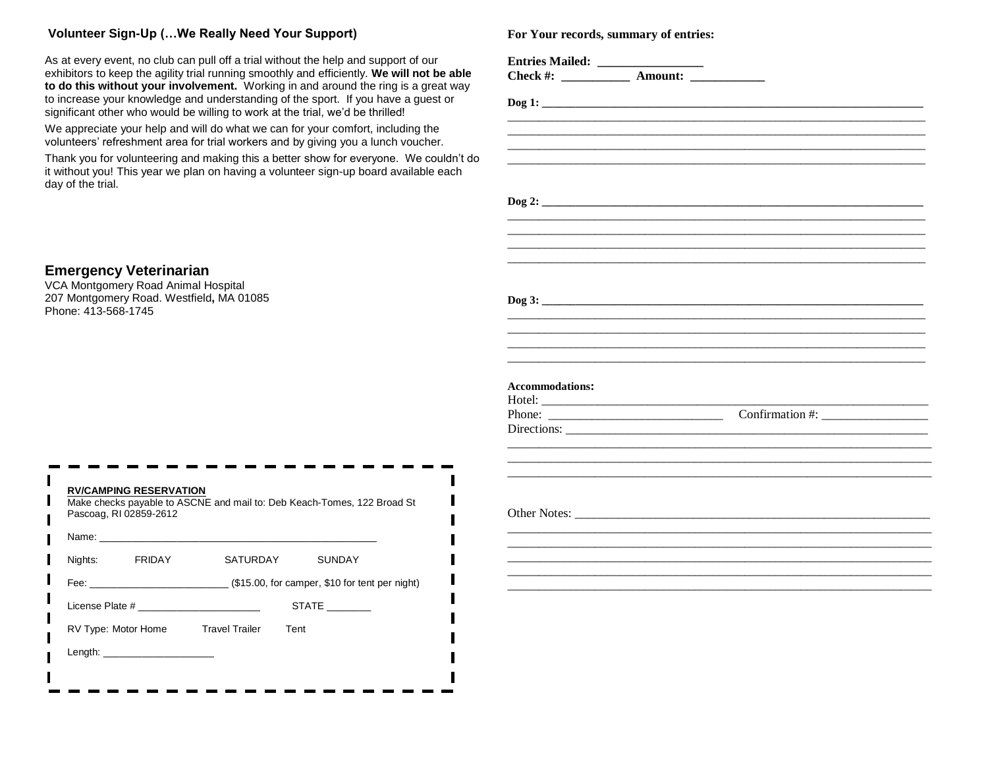## **Volunteer Sign-Up (…We Really Need Your Support)**

**Emergency Veterinarian**  VCA Montgomery Road Animal Hospital 207 Montgomery Road. Westfield**,** MA 01085

Phone: 413-568-1745

As at every event, no club can pull off a trial without the help and support of our exhibitors to keep the agility trial running smoothly and efficiently. **We will not be able to do this without your involvement.** Working in and around the ring is a great way to increase your knowledge and understanding of the sport. If you have a guest or significant other who would be willing to work at the trial, we'd be thrilled!

We appreciate your help and will do what we can for your comfort, including the volunteers' refreshment area for trial workers and by giving you a lunch voucher.

Thank you for volunteering and making this a better show for everyone. We couldn't do it without you! This year we plan on having a volunteer sign-up board available each day of the trial.

| Nights: | FRIDAY | SATURDAY                                                                                             | <b>SUNDAY</b> |
|---------|--------|------------------------------------------------------------------------------------------------------|---------------|
|         |        |                                                                                                      |               |
|         |        | License Plate # 2009 and 2009 and 2009 and 2009 and 2009 and 2009 and 2009 and 2009 and 2009 and 200 | <b>STATE</b>  |
|         |        | RV Type: Motor Home Travel Trailer Tent                                                              |               |

**For Your records, summary of entries:**

| <b>Accommodations:</b> |  |  |
|------------------------|--|--|
|                        |  |  |
|                        |  |  |
|                        |  |  |
|                        |  |  |
|                        |  |  |
|                        |  |  |
|                        |  |  |
|                        |  |  |
|                        |  |  |
|                        |  |  |
|                        |  |  |
|                        |  |  |
|                        |  |  |
|                        |  |  |
|                        |  |  |
|                        |  |  |
|                        |  |  |
|                        |  |  |